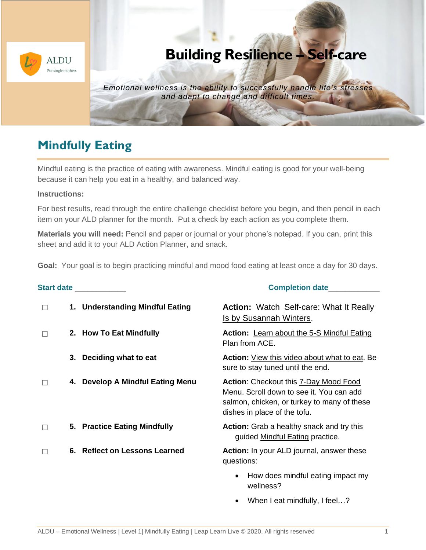

# **Building Resilience – Self-care**

*Emotional wellness is the ability to successfully handle life's stresses and adapt to change and difficult times.*

## **Mindfully Eating**

Mindful eating is the practice of eating with awareness. Mindful eating is good for your well-being because it can help you eat in a healthy, and balanced way.

#### **Instructions:**

For best results, read through the entire challenge checklist before you begin, and then pencil in each item on your ALD planner for the month. Put a check by each action as you complete them.

**Materials you will need:** Pencil and paper or journal or your phone's notepad. If you can, print this sheet and add it to your ALD Action Planner, and snack.

**Goal:** Your goal is to begin practicing mindful and mood food eating at least once a day for 30 days.

| Start date ____________ |    |                                  | <b>Completion date</b>                                                                                                                                           |  |  |
|-------------------------|----|----------------------------------|------------------------------------------------------------------------------------------------------------------------------------------------------------------|--|--|
| П                       |    | 1. Understanding Mindful Eating  | <b>Action:</b> Watch Self-care: What It Really<br>Is by Susannah Winters.                                                                                        |  |  |
|                         |    | 2. How To Eat Mindfully          | <b>Action:</b> Learn about the 5-S Mindful Eating<br>Plan from ACE.                                                                                              |  |  |
|                         | 3. | Deciding what to eat             | <b>Action:</b> View this video about what to eat. Be<br>sure to stay tuned until the end.                                                                        |  |  |
|                         |    | 4. Develop A Mindful Eating Menu | Action: Checkout this 7-Day Mood Food<br>Menu. Scroll down to see it. You can add<br>salmon, chicken, or turkey to many of these<br>dishes in place of the tofu. |  |  |
|                         |    | 5. Practice Eating Mindfully     | <b>Action:</b> Grab a healthy snack and try this<br>guided Mindful Eating practice.                                                                              |  |  |
| П                       |    | 6. Reflect on Lessons Learned    | Action: In your ALD journal, answer these<br>questions:                                                                                                          |  |  |
|                         |    |                                  | How does mindful eating impact my<br>$\bullet$<br>wellness?                                                                                                      |  |  |

When I eat mindfully, I feel...?